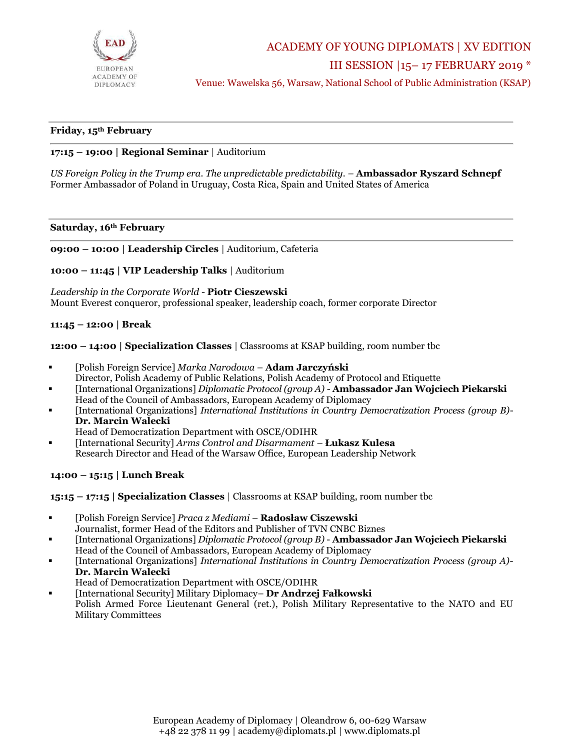

ACADEMY OF YOUNG DIPLOMATS | XV EDITION

III SESSION |15– 17 FEBRUARY 2019 \*

Venue: Wawelska 56, Warsaw, National School of Public Administration (KSAP)

# **Friday, 15th February**

#### **17:15 – 19:00 | Regional Seminar** | Auditorium

*US Foreign Policy in the Trump era. The unpredictable predictability. –* **Ambassador Ryszard Schnepf** Former Ambassador of Poland in Uruguay, Costa Rica, Spain and United States of America

#### **Saturday, 16th February**

**09:00 – 10:00 | Leadership Circles** | Auditorium, Cafeteria

**10:00 – 11:45 | VIP Leadership Talks** | Auditorium

*Leadership in the Corporate World* - **Piotr Cieszewski** Mount Everest conqueror, professional speaker, leadership coach, former corporate Director

### **11:45 – 12:00 | Break**

**12:00 – 14:00 | Specialization Classes** | Classrooms at KSAP building, room number tbc

- [Polish Foreign Service] *Marka Narodowa*  **Adam Jarczyński** Director, Polish Academy of Public Relations, Polish Academy of Protocol and Etiquette
- [International Organizations] *Diplomatic Protocol (group A)* **Ambassador Jan Wojciech Piekarski** Head of the Council of Ambassadors, European Academy of Diplomacy
- [International Organizations] *International Institutions in Country Democratization Process (group B)* **Dr. Marcin Walecki**
	- Head of Democratization Department with OSCE/ODIHR
- [International Security] *Arms Control and Disarmament –* **Łukasz Kulesa** Research Director and Head of the Warsaw Office, European Leadership Network

## **14:00 – 15:15 | Lunch Break**

**15:15 – 17:15 | Specialization Classes** | Classrooms at KSAP building, room number tbc

- [Polish Foreign Service] *Praca z Mediami* **Radosław Ciszewski** Journalist, former Head of the Editors and Publisher of TVN CNBC Biznes
- [International Organizations] *Diplomatic Protocol (group B)*  **Ambassador Jan Wojciech Piekarski** Head of the Council of Ambassadors, European Academy of Diplomacy
- [International Organizations] *International Institutions in Country Democratization Process (group A)* **Dr. Marcin Walecki**
	- Head of Democratization Department with OSCE/ODIHR
- [International Security] Military Diplomacy– **Dr Andrzej Fałkowski** Polish Armed Force Lieutenant General (ret.), Polish Military Representative to the NATO and EU Military Committees